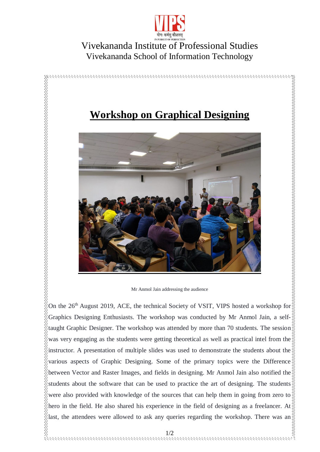

## Vivekananda Institute of Professional Studies Vivekananda School of Information Technology



On the  $26<sup>th</sup>$  August 2019, ACE, the technical Society of VSIT, VIPS hosted a workshop for Graphics Designing Enthusiasts. The workshop was conducted by Mr Anmol Jain, a selftaught Graphic Designer. The workshop was attended by more than 70 students. The session was very engaging as the students were getting theoretical as well as practical intel from the instructor. A presentation of multiple slides was used to demonstrate the students about the  $\&$ various aspects of Graphic Designing. Some of the primary topics were the Difference between Vector and Raster Images, and fields in designing. Mr Anmol Jain also notified the  $\frac{1}{2}$ students about the software that can be used to practice the art of designing. The students were also provided with knowledge of the sources that can help them in going from zero to  $\frac{1}{2}$ hero in the field. He also shared his experience in the field of designing as a freelancer. At  $\frac{1}{2}$ last, the attendees were allowed to ask any queries regarding the workshop. There was an $\frac{8}{8}$